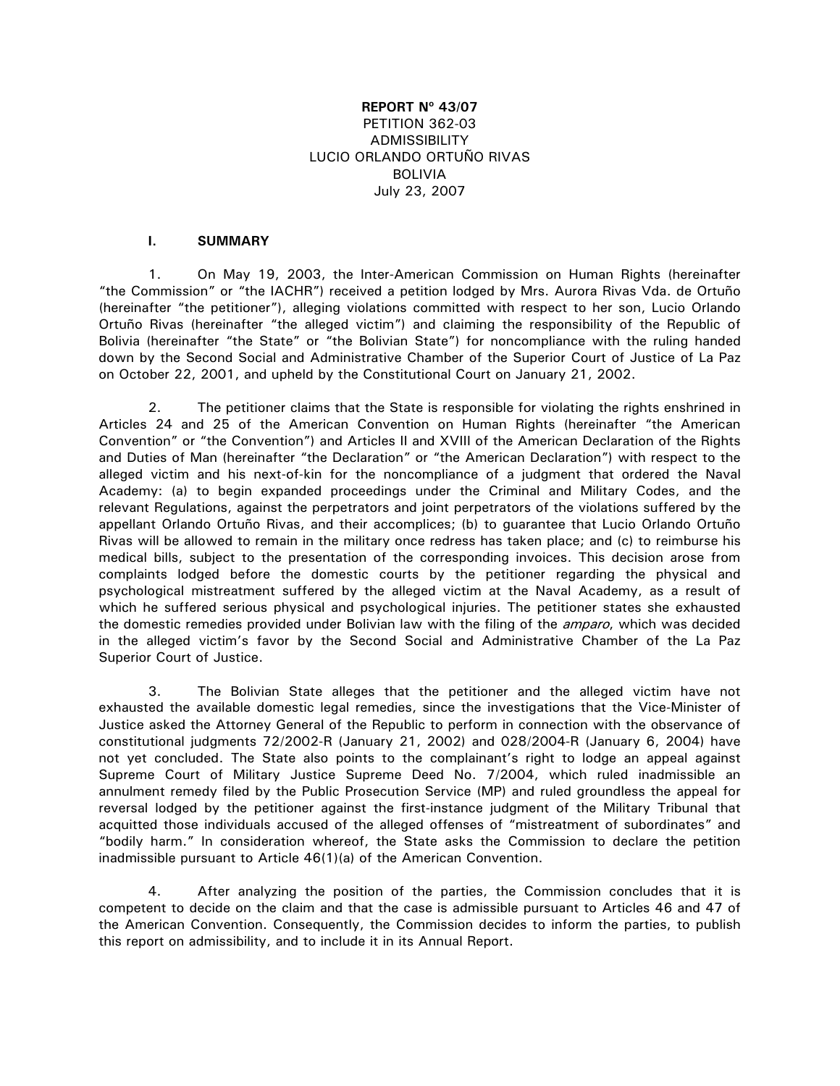# **REPORT Nº 43/07**  PETITION 362-03 ADMISSIBILITY LUCIO ORLANDO ORTUÑO RIVAS BOLIVIA July 23, 2007

## **I. SUMMARY**

1. On May 19, 2003, the Inter-American Commission on Human Rights (hereinafter "the Commission" or "the IACHR") received a petition lodged by Mrs. Aurora Rivas Vda. de Ortuño (hereinafter "the petitioner"), alleging violations committed with respect to her son, Lucio Orlando Ortuño Rivas (hereinafter "the alleged victim") and claiming the responsibility of the Republic of Bolivia (hereinafter "the State" or "the Bolivian State") for noncompliance with the ruling handed down by the Second Social and Administrative Chamber of the Superior Court of Justice of La Paz on October 22, 2001, and upheld by the Constitutional Court on January 21, 2002.

2. The petitioner claims that the State is responsible for violating the rights enshrined in Articles 24 and 25 of the American Convention on Human Rights (hereinafter "the American Convention" or "the Convention") and Articles II and XVIII of the American Declaration of the Rights and Duties of Man (hereinafter "the Declaration" or "the American Declaration") with respect to the alleged victim and his next-of-kin for the noncompliance of a judgment that ordered the Naval Academy: (a) to begin expanded proceedings under the Criminal and Military Codes, and the relevant Regulations, against the perpetrators and joint perpetrators of the violations suffered by the appellant Orlando Ortuño Rivas, and their accomplices; (b) to guarantee that Lucio Orlando Ortuño Rivas will be allowed to remain in the military once redress has taken place; and (c) to reimburse his medical bills, subject to the presentation of the corresponding invoices. This decision arose from complaints lodged before the domestic courts by the petitioner regarding the physical and psychological mistreatment suffered by the alleged victim at the Naval Academy, as a result of which he suffered serious physical and psychological injuries. The petitioner states she exhausted the domestic remedies provided under Bolivian law with the filing of the *amparo*, which was decided in the alleged victim's favor by the Second Social and Administrative Chamber of the La Paz Superior Court of Justice.

3. The Bolivian State alleges that the petitioner and the alleged victim have not exhausted the available domestic legal remedies, since the investigations that the Vice-Minister of Justice asked the Attorney General of the Republic to perform in connection with the observance of constitutional judgments 72/2002-R (January 21, 2002) and 028/2004-R (January 6, 2004) have not yet concluded. The State also points to the complainant's right to lodge an appeal against Supreme Court of Military Justice Supreme Deed No. 7/2004, which ruled inadmissible an annulment remedy filed by the Public Prosecution Service (MP) and ruled groundless the appeal for reversal lodged by the petitioner against the first-instance judgment of the Military Tribunal that acquitted those individuals accused of the alleged offenses of "mistreatment of subordinates" and "bodily harm." In consideration whereof, the State asks the Commission to declare the petition inadmissible pursuant to Article 46(1)(a) of the American Convention.

4. After analyzing the position of the parties, the Commission concludes that it is competent to decide on the claim and that the case is admissible pursuant to Articles 46 and 47 of the American Convention. Consequently, the Commission decides to inform the parties, to publish this report on admissibility, and to include it in its Annual Report.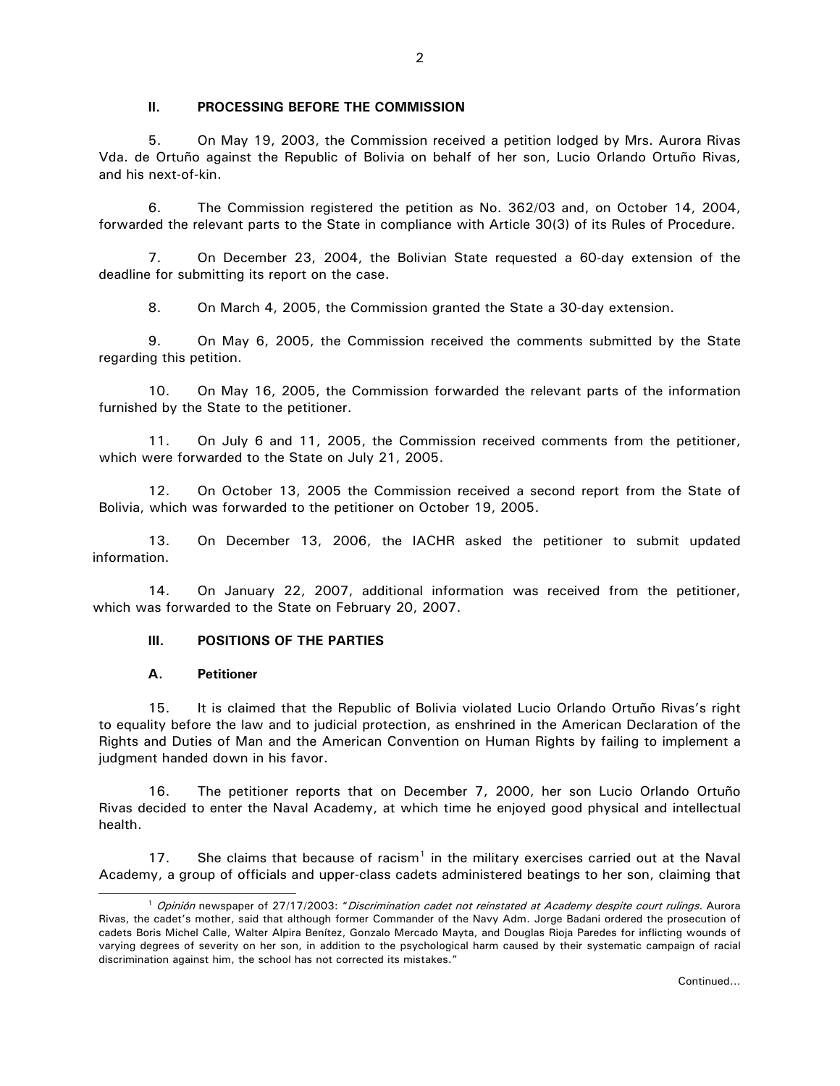#### **II. PROCESSING BEFORE THE COMMISSION**

5. On May 19, 2003, the Commission received a petition lodged by Mrs. Aurora Rivas Vda. de Ortuño against the Republic of Bolivia on behalf of her son, Lucio Orlando Ortuño Rivas, and his next-of-kin.

6. The Commission registered the petition as No. 362/03 and, on October 14, 2004, forwarded the relevant parts to the State in compliance with Article 30(3) of its Rules of Procedure.

7. On December 23, 2004, the Bolivian State requested a 60-day extension of the deadline for submitting its report on the case.

8. On March 4, 2005, the Commission granted the State a 30-day extension.

9. On May 6, 2005, the Commission received the comments submitted by the State regarding this petition.

10. On May 16, 2005, the Commission forwarded the relevant parts of the information furnished by the State to the petitioner.

11. On July 6 and 11, 2005, the Commission received comments from the petitioner, which were forwarded to the State on July 21, 2005.

12. On October 13, 2005 the Commission received a second report from the State of Bolivia, which was forwarded to the petitioner on October 19, 2005.

13. On December 13, 2006, the IACHR asked the petitioner to submit updated information.

14. On January 22, 2007, additional information was received from the petitioner, which was forwarded to the State on February 20, 2007.

## **III. POSITIONS OF THE PARTIES**

## **A. Petitioner**

 $\overline{\phantom{0}}$ 

15. It is claimed that the Republic of Bolivia violated Lucio Orlando Ortuño Rivas's right to equality before the law and to judicial protection, as enshrined in the American Declaration of the Rights and Duties of Man and the American Convention on Human Rights by failing to implement a judgment handed down in his favor.

16. The petitioner reports that on December 7, 2000, her son Lucio Orlando Ortuño Rivas decided to enter the Naval Academy, at which time he enjoyed good physical and intellectual health.

[1](#page-1-0)7. She claims that because of racism<sup>1</sup> in the military exercises carried out at the Naval Academy, a group of officials and upper-class cadets administered beatings to her son, claiming that

<span id="page-1-0"></span><sup>&</sup>lt;sup>1</sup> Opinión newspaper of 27/17/2003: "Discrimination cadet not reinstated at Academy despite court rulings. Aurora Rivas, the cadet's mother, said that although former Commander of the Navy Adm. Jorge Badani ordered the prosecution of cadets Boris Michel Calle, Walter Alpira Benítez, Gonzalo Mercado Mayta, and Douglas Rioja Paredes for inflicting wounds of varying degrees of severity on her son, in addition to the psychological harm caused by their systematic campaign of racial discrimination against him, the school has not corrected its mistakes."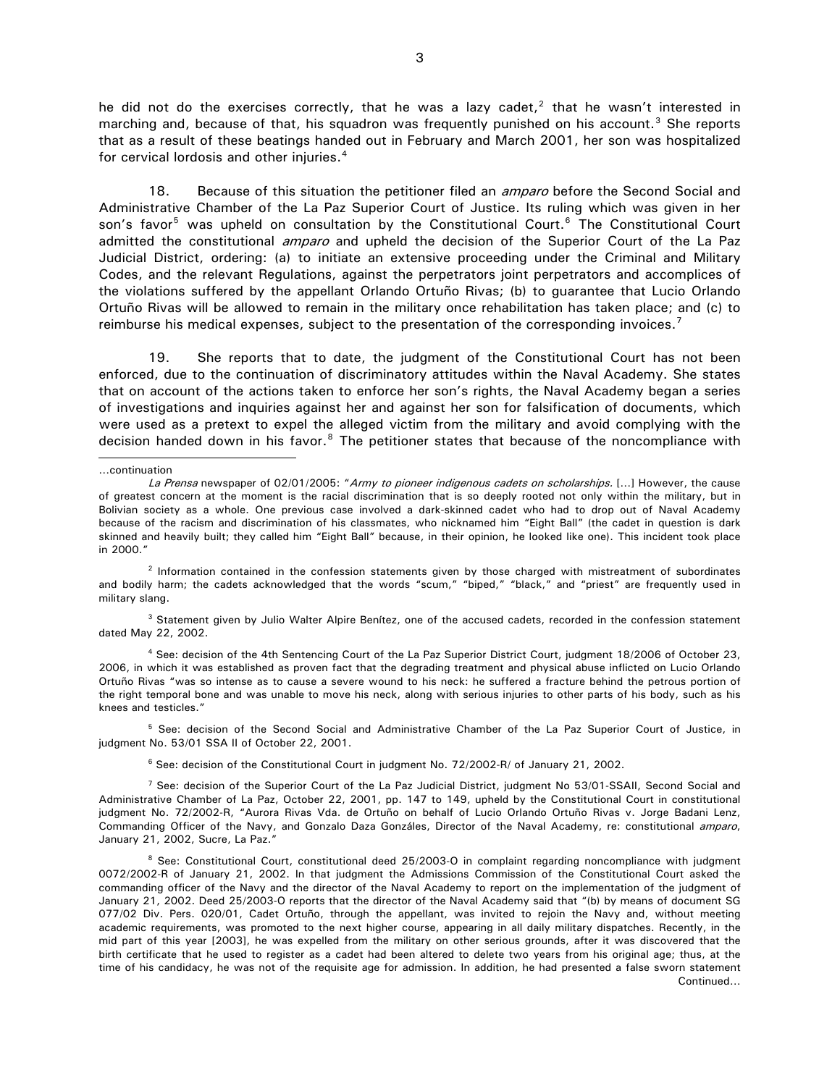he did not do the exercises correctly, that he was a lazy cadet,<sup>[2](#page-2-0)</sup> that he wasn't interested in marching and, because of that, his squadron was frequently punished on his account.<sup>[3](#page-2-1)</sup> She reports that as a result of these beatings handed out in February and March 2001, her son was hospitalized for cervical lordosis and other injuries.<sup>[4](#page-2-2)</sup>

18. Because of this situation the petitioner filed an *amparo* before the Second Social and Administrative Chamber of the La Paz Superior Court of Justice. Its ruling which was given in her son's favor<sup>[5](#page-2-3)</sup> was upheld on consultation by the Constitutional Court.<sup>[6](#page-2-4)</sup> The Constitutional Court admitted the constitutional *amparo* and upheld the decision of the Superior Court of the La Paz Judicial District, ordering: (a) to initiate an extensive proceeding under the Criminal and Military Codes, and the relevant Regulations, against the perpetrators joint perpetrators and accomplices of the violations suffered by the appellant Orlando Ortuño Rivas; (b) to guarantee that Lucio Orlando Ortuño Rivas will be allowed to remain in the military once rehabilitation has taken place; and (c) to reimburse his medical expenses, subject to the presentation of the corresponding invoices.<sup>[7](#page-2-5)</sup>

19. She reports that to date, the judgment of the Constitutional Court has not been enforced, due to the continuation of discriminatory attitudes within the Naval Academy. She states that on account of the actions taken to enforce her son's rights, the Naval Academy began a series of investigations and inquiries against her and against her son for falsification of documents, which were used as a pretext to expel the alleged victim from the military and avoid complying with the decision handed down in his favor.<sup>[8](#page-2-6)</sup> The petitioner states that because of the noncompliance with

…continuation

j

<span id="page-2-1"></span><sup>3</sup> Statement given by Julio Walter Alpire Benítez, one of the accused cadets, recorded in the confession statement dated May 22, 2002.

<span id="page-2-2"></span>4 See: decision of the 4th Sentencing Court of the La Paz Superior District Court, judgment 18/2006 of October 23, 2006, in which it was established as proven fact that the degrading treatment and physical abuse inflicted on Lucio Orlando Ortuño Rivas "was so intense as to cause a severe wound to his neck: he suffered a fracture behind the petrous portion of the right temporal bone and was unable to move his neck, along with serious injuries to other parts of his body, such as his knees and testicles."

<span id="page-2-3"></span>5 See: decision of the Second Social and Administrative Chamber of the La Paz Superior Court of Justice, in judgment No. 53/01 SSA II of October 22, 2001.

6 See: decision of the Constitutional Court in judgment No. 72/2002-R/ of January 21, 2002.

La Prensa newspaper of 02/01/2005: "Army to pioneer indigenous cadets on scholarships. [...] However, the cause of greatest concern at the moment is the racial discrimination that is so deeply rooted not only within the military, but in Bolivian society as a whole. One previous case involved a dark-skinned cadet who had to drop out of Naval Academy because of the racism and discrimination of his classmates, who nicknamed him "Eight Ball" (the cadet in question is dark skinned and heavily built; they called him "Eight Ball" because, in their opinion, he looked like one). This incident took place in 2000."

<span id="page-2-0"></span><sup>2</sup> Information contained in the confession statements given by those charged with mistreatment of subordinates and bodily harm; the cadets acknowledged that the words "scum," "biped," "black," and "priest" are frequently used in military slang.

<span id="page-2-5"></span><span id="page-2-4"></span> $7$  See: decision of the Superior Court of the La Paz Judicial District, judgment No 53/01-SSAII, Second Social and Administrative Chamber of La Paz, October 22, 2001, pp. 147 to 149, upheld by the Constitutional Court in constitutional judgment No. 72/2002-R, "Aurora Rivas Vda. de Ortuño on behalf of Lucio Orlando Ortuño Rivas v. Jorge Badani Lenz, Commanding Officer of the Navy, and Gonzalo Daza Gonzáles, Director of the Naval Academy, re: constitutional amparo, January 21, 2002, Sucre, La Paz."

<span id="page-2-6"></span>Continued… <sup>8</sup> See: Constitutional Court, constitutional deed 25/2003-O in complaint regarding noncompliance with judgment 0072/2002-R of January 21, 2002. In that judgment the Admissions Commission of the Constitutional Court asked the commanding officer of the Navy and the director of the Naval Academy to report on the implementation of the judgment of January 21, 2002. Deed 25/2003-O reports that the director of the Naval Academy said that "(b) by means of document SG 077/02 Div. Pers. 020/01, Cadet Ortuño, through the appellant, was invited to rejoin the Navy and, without meeting academic requirements, was promoted to the next higher course, appearing in all daily military dispatches. Recently, in the mid part of this year [2003], he was expelled from the military on other serious grounds, after it was discovered that the birth certificate that he used to register as a cadet had been altered to delete two years from his original age; thus, at the time of his candidacy, he was not of the requisite age for admission. In addition, he had presented a false sworn statement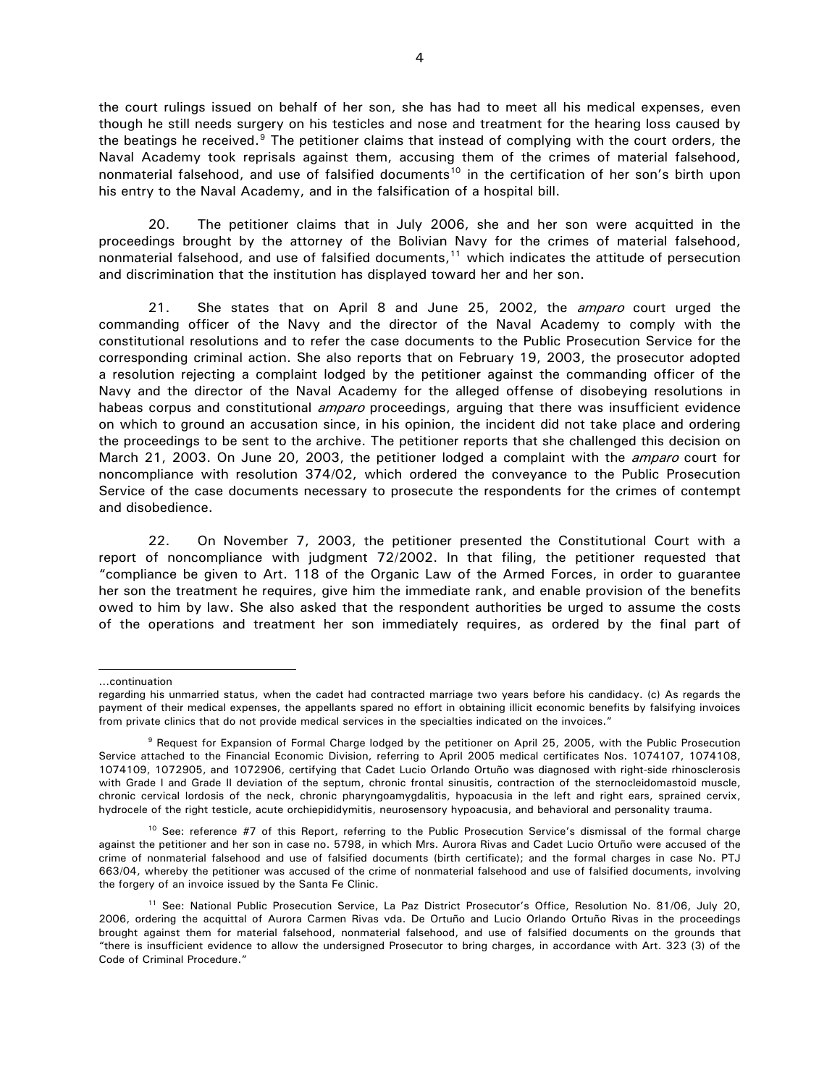the court rulings issued on behalf of her son, she has had to meet all his medical expenses, even though he still needs surgery on his testicles and nose and treatment for the hearing loss caused by the beatings he received.<sup>[9](#page-3-0)</sup> The petitioner claims that instead of complying with the court orders, the Naval Academy took reprisals against them, accusing them of the crimes of material falsehood, nonmaterial falsehood, and use of falsified documents<sup>10</sup> in the certification of her son's birth upon his entry to the Naval Academy, and in the falsification of a hospital bill.

20. The petitioner claims that in July 2006, she and her son were acquitted in the proceedings brought by the attorney of the Bolivian Navy for the crimes of material falsehood, nonmaterial falsehood, and use of falsified documents, $11$  which indicates the attitude of persecution and discrimination that the institution has displayed toward her and her son.

21. She states that on April 8 and June 25, 2002, the *amparo* court urged the commanding officer of the Navy and the director of the Naval Academy to comply with the constitutional resolutions and to refer the case documents to the Public Prosecution Service for the corresponding criminal action. She also reports that on February 19, 2003, the prosecutor adopted a resolution rejecting a complaint lodged by the petitioner against the commanding officer of the Navy and the director of the Naval Academy for the alleged offense of disobeying resolutions in habeas corpus and constitutional *amparo* proceedings, arguing that there was insufficient evidence on which to ground an accusation since, in his opinion, the incident did not take place and ordering the proceedings to be sent to the archive. The petitioner reports that she challenged this decision on March 21, 2003. On June 20, 2003, the petitioner lodged a complaint with the *amparo* court for noncompliance with resolution 374/02, which ordered the conveyance to the Public Prosecution Service of the case documents necessary to prosecute the respondents for the crimes of contempt and disobedience.

22. On November 7, 2003, the petitioner presented the Constitutional Court with a report of noncompliance with judgment 72/2002. In that filing, the petitioner requested that "compliance be given to Art. 118 of the Organic Law of the Armed Forces, in order to guarantee her son the treatment he requires, give him the immediate rank, and enable provision of the benefits owed to him by law. She also asked that the respondent authorities be urged to assume the costs of the operations and treatment her son immediately requires, as ordered by the final part of

…continuation

 $\overline{\phantom{0}}$ 

regarding his unmarried status, when the cadet had contracted marriage two years before his candidacy. (c) As regards the payment of their medical expenses, the appellants spared no effort in obtaining illicit economic benefits by falsifying invoices from private clinics that do not provide medical services in the specialties indicated on the invoices."

<span id="page-3-0"></span><sup>9</sup> Request for Expansion of Formal Charge lodged by the petitioner on April 25, 2005, with the Public Prosecution Service attached to the Financial Economic Division, referring to April 2005 medical certificates Nos. 1074107, 1074108, 1074109, 1072905, and 1072906, certifying that Cadet Lucio Orlando Ortuño was diagnosed with right-side rhinosclerosis with Grade I and Grade II deviation of the septum, chronic frontal sinusitis, contraction of the sternocleidomastoid muscle, chronic cervical lordosis of the neck, chronic pharyngoamygdalitis, hypoacusia in the left and right ears, sprained cervix, hydrocele of the right testicle, acute orchiepididymitis, neurosensory hypoacusia, and behavioral and personality trauma.

<span id="page-3-1"></span><sup>&</sup>lt;sup>10</sup> See: reference #7 of this Report, referring to the Public Prosecution Service's dismissal of the formal charge against the petitioner and her son in case no. 5798, in which Mrs. Aurora Rivas and Cadet Lucio Ortuño were accused of the crime of nonmaterial falsehood and use of falsified documents (birth certificate); and the formal charges in case No. PTJ 663/04, whereby the petitioner was accused of the crime of nonmaterial falsehood and use of falsified documents, involving the forgery of an invoice issued by the Santa Fe Clinic.

<span id="page-3-2"></span><sup>&</sup>lt;sup>11</sup> See: National Public Prosecution Service, La Paz District Prosecutor's Office, Resolution No. 81/06, July 20, 2006, ordering the acquittal of Aurora Carmen Rivas vda. De Ortuño and Lucio Orlando Ortuño Rivas in the proceedings brought against them for material falsehood, nonmaterial falsehood, and use of falsified documents on the grounds that "there is insufficient evidence to allow the undersigned Prosecutor to bring charges, in accordance with Art. 323 (3) of the Code of Criminal Procedure."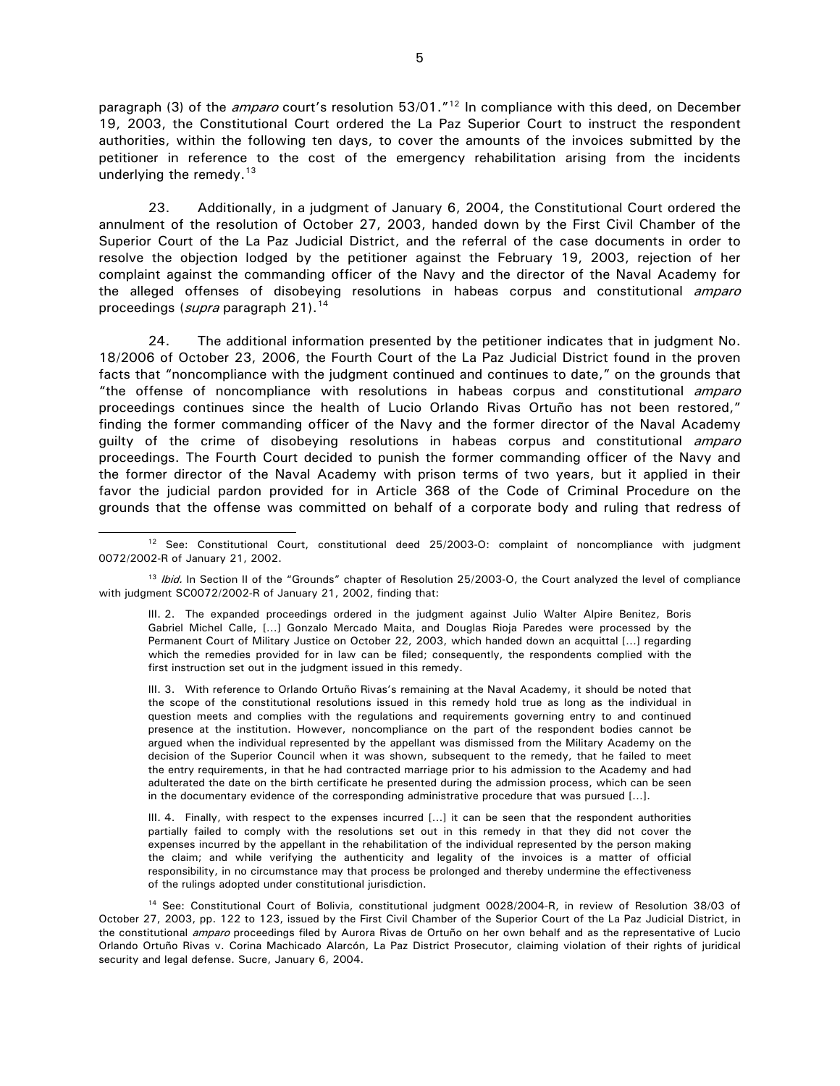paragraph (3) of the *amparo* court's resolution 53/01."<sup>[12](#page-4-0)</sup> In compliance with this deed, on December 19, 2003, the Constitutional Court ordered the La Paz Superior Court to instruct the respondent authorities, within the following ten days, to cover the amounts of the invoices submitted by the petitioner in reference to the cost of the emergency rehabilitation arising from the incidents underlying the remedy. $13$ 

23. Additionally, in a judgment of January 6, 2004, the Constitutional Court ordered the annulment of the resolution of October 27, 2003, handed down by the First Civil Chamber of the Superior Court of the La Paz Judicial District, and the referral of the case documents in order to resolve the objection lodged by the petitioner against the February 19, 2003, rejection of her complaint against the commanding officer of the Navy and the director of the Naval Academy for the alleged offenses of disobeying resolutions in habeas corpus and constitutional *amparo* proceedings (*supra* paragraph 21).<sup>[14](#page-4-2)</sup>

24. The additional information presented by the petitioner indicates that in judgment No. 18/2006 of October 23, 2006, the Fourth Court of the La Paz Judicial District found in the proven facts that "noncompliance with the judgment continued and continues to date," on the grounds that "the offense of noncompliance with resolutions in habeas corpus and constitutional amparo proceedings continues since the health of Lucio Orlando Rivas Ortuño has not been restored," finding the former commanding officer of the Navy and the former director of the Naval Academy guilty of the crime of disobeying resolutions in habeas corpus and constitutional *amparo* proceedings. The Fourth Court decided to punish the former commanding officer of the Navy and the former director of the Naval Academy with prison terms of two years, but it applied in their favor the judicial pardon provided for in Article 368 of the Code of Criminal Procedure on the grounds that the offense was committed on behalf of a corporate body and ruling that redress of

<span id="page-4-0"></span><sup>&</sup>lt;sup>12</sup> See: Constitutional Court, constitutional deed 25/2003-O: complaint of noncompliance with judgment 0072/2002-R of January 21, 2002.

<span id="page-4-1"></span><sup>&</sup>lt;sup>13</sup> Ibid. In Section II of the "Grounds" chapter of Resolution 25/2003-O, the Court analyzed the level of compliance with judgment SC0072/2002-R of January 21, 2002, finding that:

III. 2. The expanded proceedings ordered in the judgment against Julio Walter Alpire Benitez, Boris Gabriel Michel Calle, […] Gonzalo Mercado Maita, and Douglas Rioja Paredes were processed by the Permanent Court of Military Justice on October 22, 2003, which handed down an acquittal […] regarding which the remedies provided for in law can be filed; consequently, the respondents complied with the first instruction set out in the judgment issued in this remedy.

III. 3. With reference to Orlando Ortuño Rivas's remaining at the Naval Academy, it should be noted that the scope of the constitutional resolutions issued in this remedy hold true as long as the individual in question meets and complies with the regulations and requirements governing entry to and continued presence at the institution. However, noncompliance on the part of the respondent bodies cannot be argued when the individual represented by the appellant was dismissed from the Military Academy on the decision of the Superior Council when it was shown, subsequent to the remedy, that he failed to meet the entry requirements, in that he had contracted marriage prior to his admission to the Academy and had adulterated the date on the birth certificate he presented during the admission process, which can be seen in the documentary evidence of the corresponding administrative procedure that was pursued […].

III. 4. Finally, with respect to the expenses incurred […] it can be seen that the respondent authorities partially failed to comply with the resolutions set out in this remedy in that they did not cover the expenses incurred by the appellant in the rehabilitation of the individual represented by the person making the claim; and while verifying the authenticity and legality of the invoices is a matter of official responsibility, in no circumstance may that process be prolonged and thereby undermine the effectiveness of the rulings adopted under constitutional jurisdiction.

<span id="page-4-2"></span><sup>14</sup> See: Constitutional Court of Bolivia, constitutional judgment 0028/2004-R, in review of Resolution 38/03 of October 27, 2003, pp. 122 to 123, issued by the First Civil Chamber of the Superior Court of the La Paz Judicial District, in the constitutional *amparo* proceedings filed by Aurora Rivas de Ortuño on her own behalf and as the representative of Lucio Orlando Ortuño Rivas v. Corina Machicado Alarcón, La Paz District Prosecutor, claiming violation of their rights of juridical security and legal defense. Sucre, January 6, 2004.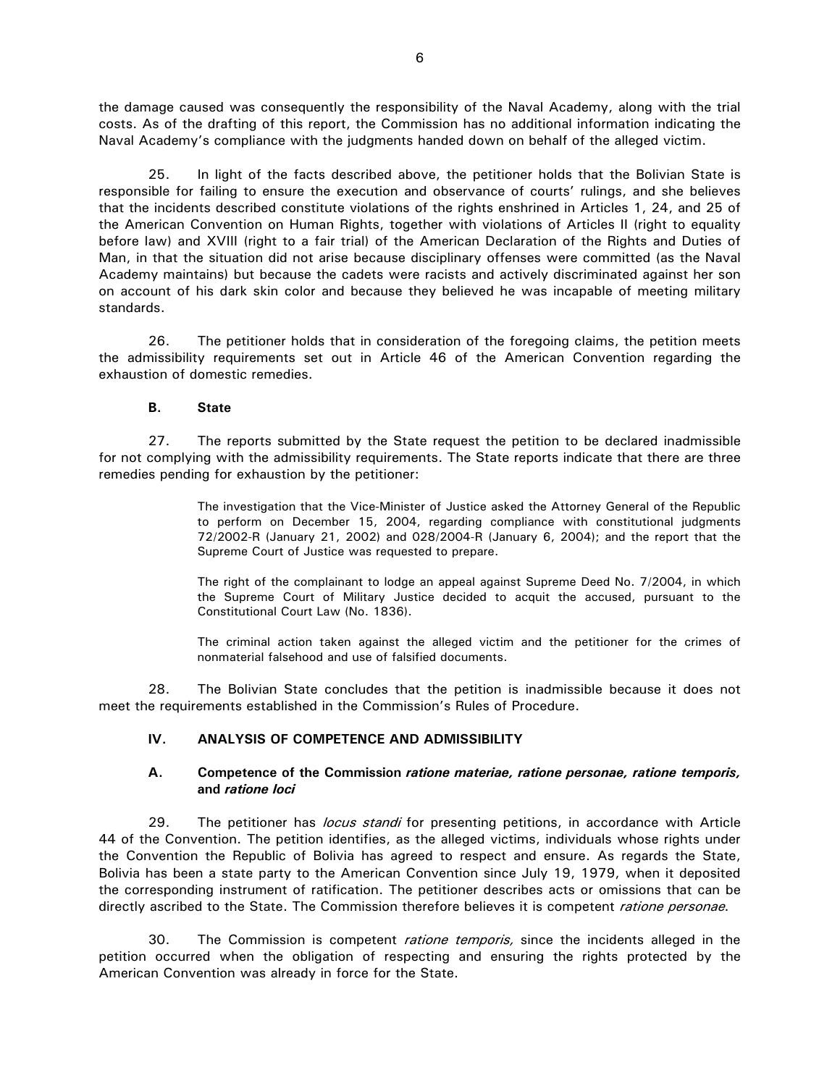the damage caused was consequently the responsibility of the Naval Academy, along with the trial costs. As of the drafting of this report, the Commission has no additional information indicating the Naval Academy's compliance with the judgments handed down on behalf of the alleged victim.

25. In light of the facts described above, the petitioner holds that the Bolivian State is responsible for failing to ensure the execution and observance of courts' rulings, and she believes that the incidents described constitute violations of the rights enshrined in Articles 1, 24, and 25 of the American Convention on Human Rights, together with violations of Articles II (right to equality before law) and XVIII (right to a fair trial) of the American Declaration of the Rights and Duties of Man, in that the situation did not arise because disciplinary offenses were committed (as the Naval Academy maintains) but because the cadets were racists and actively discriminated against her son on account of his dark skin color and because they believed he was incapable of meeting military standards.

26. The petitioner holds that in consideration of the foregoing claims, the petition meets the admissibility requirements set out in Article 46 of the American Convention regarding the exhaustion of domestic remedies.

#### **B. State**

 27. The reports submitted by the State request the petition to be declared inadmissible for not complying with the admissibility requirements. The State reports indicate that there are three remedies pending for exhaustion by the petitioner:

> The investigation that the Vice-Minister of Justice asked the Attorney General of the Republic to perform on December 15, 2004, regarding compliance with constitutional judgments 72/2002-R (January 21, 2002) and 028/2004-R (January 6, 2004); and the report that the Supreme Court of Justice was requested to prepare.

> The right of the complainant to lodge an appeal against Supreme Deed No. 7/2004, in which the Supreme Court of Military Justice decided to acquit the accused, pursuant to the Constitutional Court Law (No. 1836).

> The criminal action taken against the alleged victim and the petitioner for the crimes of nonmaterial falsehood and use of falsified documents.

 28. The Bolivian State concludes that the petition is inadmissible because it does not meet the requirements established in the Commission's Rules of Procedure.

## **IV. ANALYSIS OF COMPETENCE AND ADMISSIBILITY**

#### **A. Competence of the Commission** *ratione materiae, ratione personae, ratione temporis,*  **and** *ratione loci*

29. The petitioner has *locus standi* for presenting petitions, in accordance with Article 44 of the Convention. The petition identifies, as the alleged victims, individuals whose rights under the Convention the Republic of Bolivia has agreed to respect and ensure. As regards the State, Bolivia has been a state party to the American Convention since July 19, 1979, when it deposited the corresponding instrument of ratification. The petitioner describes acts or omissions that can be directly ascribed to the State. The Commission therefore believes it is competent *ratione personae*.

30. The Commission is competent *ratione temporis*, since the incidents alleged in the petition occurred when the obligation of respecting and ensuring the rights protected by the American Convention was already in force for the State.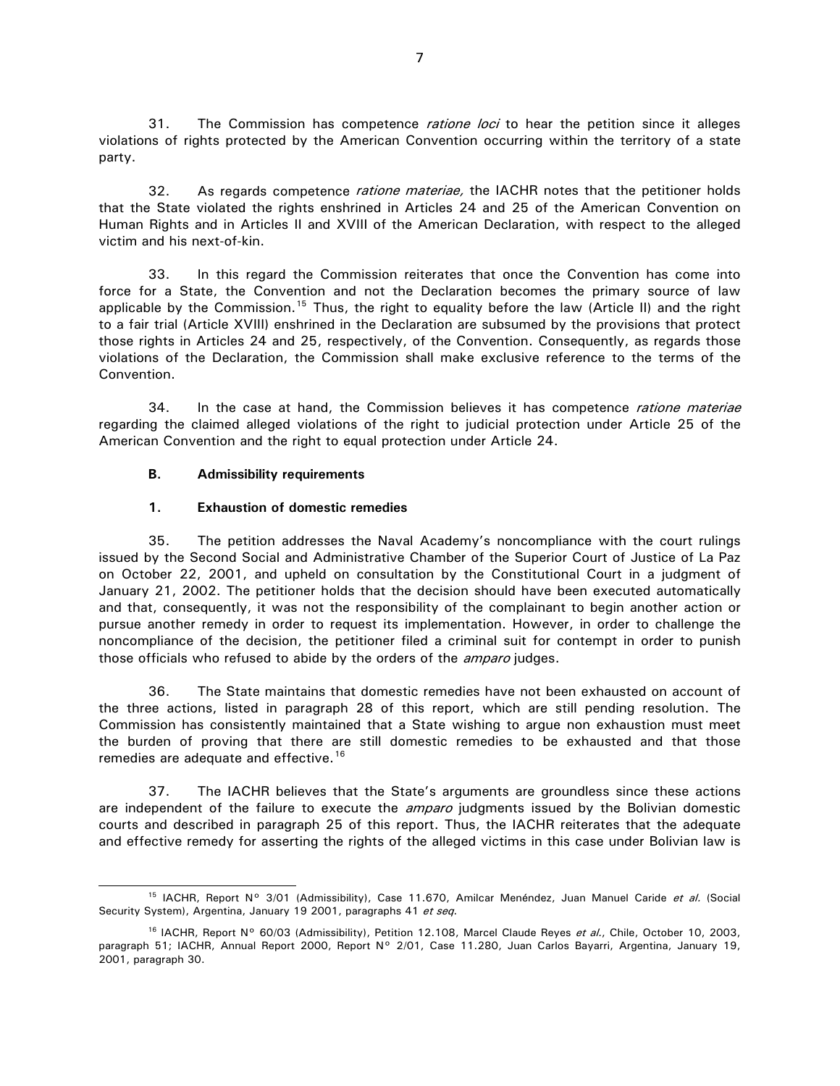31. The Commission has competence *ratione loci* to hear the petition since it alleges violations of rights protected by the American Convention occurring within the territory of a state party.

32. As regards competence *ratione materiae*, the IACHR notes that the petitioner holds that the State violated the rights enshrined in Articles 24 and 25 of the American Convention on Human Rights and in Articles II and XVIII of the American Declaration, with respect to the alleged victim and his next-of-kin.

33. In this regard the Commission reiterates that once the Convention has come into force for a State, the Convention and not the Declaration becomes the primary source of law applicable by the Commission.<sup>[15](#page-6-0)</sup> Thus, the right to equality before the law (Article II) and the right to a fair trial (Article XVIII) enshrined in the Declaration are subsumed by the provisions that protect those rights in Articles 24 and 25, respectively, of the Convention. Consequently, as regards those violations of the Declaration, the Commission shall make exclusive reference to the terms of the Convention.

34. In the case at hand, the Commission believes it has competence *ratione materiae* regarding the claimed alleged violations of the right to judicial protection under Article 25 of the American Convention and the right to equal protection under Article 24.

## **B. Admissibility requirements**

## **1. Exhaustion of domestic remedies**

35. The petition addresses the Naval Academy's noncompliance with the court rulings issued by the Second Social and Administrative Chamber of the Superior Court of Justice of La Paz on October 22, 2001, and upheld on consultation by the Constitutional Court in a judgment of January 21, 2002. The petitioner holds that the decision should have been executed automatically and that, consequently, it was not the responsibility of the complainant to begin another action or pursue another remedy in order to request its implementation. However, in order to challenge the noncompliance of the decision, the petitioner filed a criminal suit for contempt in order to punish those officials who refused to abide by the orders of the *amparo* judges.

36. The State maintains that domestic remedies have not been exhausted on account of the three actions, listed in paragraph 28 of this report, which are still pending resolution. The Commission has consistently maintained that a State wishing to argue non exhaustion must meet the burden of proving that there are still domestic remedies to be exhausted and that those remedies are adequate and effective.<sup>[16](#page-6-1)</sup>

37. The IACHR believes that the State's arguments are groundless since these actions are independent of the failure to execute the *amparo* judgments issued by the Bolivian domestic courts and described in paragraph 25 of this report. Thus, the IACHR reiterates that the adequate and effective remedy for asserting the rights of the alleged victims in this case under Bolivian law is

<span id="page-6-0"></span><sup>&</sup>lt;sup>15</sup> IACHR, Report Nº 3/01 (Admissibility), Case 11.670, Amilcar Menéndez, Juan Manuel Caride et al. (Social Security System), Argentina, January 19 2001, paragraphs 41 et seq.

<span id="page-6-1"></span><sup>&</sup>lt;sup>16</sup> IACHR, Report Nº 60/03 (Admissibility), Petition 12.108, Marcel Claude Reyes et al., Chile, October 10, 2003, paragraph 51; IACHR, Annual Report 2000, Report Nº 2/01, Case 11.280, Juan Carlos Bayarri, Argentina, January 19, 2001, paragraph 30.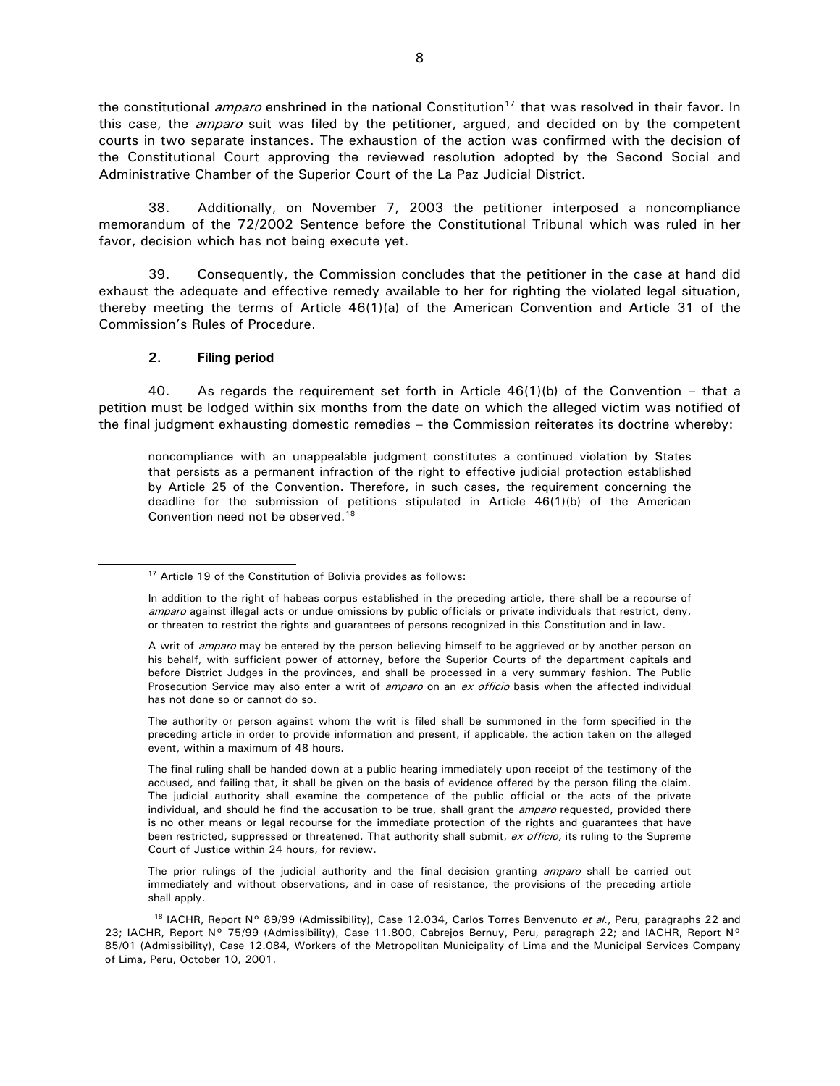the constitutional *amparo* enshrined in the national Constitution<sup>[17](#page-7-0)</sup> that was resolved in their favor. In this case, the *amparo* suit was filed by the petitioner, argued, and decided on by the competent courts in two separate instances. The exhaustion of the action was confirmed with the decision of the Constitutional Court approving the reviewed resolution adopted by the Second Social and Administrative Chamber of the Superior Court of the La Paz Judicial District.

38. Additionally, on November 7, 2003 the petitioner interposed a noncompliance memorandum of the 72/2002 Sentence before the Constitutional Tribunal which was ruled in her favor, decision which has not being execute yet.

39. Consequently, the Commission concludes that the petitioner in the case at hand did exhaust the adequate and effective remedy available to her for righting the violated legal situation, thereby meeting the terms of Article 46(1)(a) of the American Convention and Article 31 of the Commission's Rules of Procedure.

#### **2. Filing period**

40. As regards the requirement set forth in Article  $46(1)(b)$  of the Convention – that a petition must be lodged within six months from the date on which the alleged victim was notified of the final judgment exhausting domestic remedies – the Commission reiterates its doctrine whereby:

noncompliance with an unappealable judgment constitutes a continued violation by States that persists as a permanent infraction of the right to effective judicial protection established by Article 25 of the Convention. Therefore, in such cases, the requirement concerning the deadline for the submission of petitions stipulated in Article 46(1)(b) of the American Convention need not be observed.<sup>[18](#page-7-1)</sup>

The authority or person against whom the writ is filed shall be summoned in the form specified in the preceding article in order to provide information and present, if applicable, the action taken on the alleged event, within a maximum of 48 hours.

The prior rulings of the judicial authority and the final decision granting *amparo* shall be carried out immediately and without observations, and in case of resistance, the provisions of the preceding article shall apply.

<span id="page-7-0"></span><sup>&</sup>lt;sup>17</sup> Article 19 of the Constitution of Bolivia provides as follows:

In addition to the right of habeas corpus established in the preceding article, there shall be a recourse of amparo against illegal acts or undue omissions by public officials or private individuals that restrict, deny, or threaten to restrict the rights and guarantees of persons recognized in this Constitution and in law.

A writ of amparo may be entered by the person believing himself to be aggrieved or by another person on his behalf, with sufficient power of attorney, before the Superior Courts of the department capitals and before District Judges in the provinces, and shall be processed in a very summary fashion. The Public Prosecution Service may also enter a writ of *amparo* on an ex officio basis when the affected individual has not done so or cannot do so.

The final ruling shall be handed down at a public hearing immediately upon receipt of the testimony of the accused, and failing that, it shall be given on the basis of evidence offered by the person filing the claim. The judicial authority shall examine the competence of the public official or the acts of the private individual, and should he find the accusation to be true, shall grant the *amparo* requested, provided there is no other means or legal recourse for the immediate protection of the rights and guarantees that have been restricted, suppressed or threatened. That authority shall submit, ex officio, its ruling to the Supreme Court of Justice within 24 hours, for review.

<span id="page-7-1"></span><sup>&</sup>lt;sup>18</sup> IACHR, Report N° 89/99 (Admissibility), Case 12.034, Carlos Torres Benvenuto et al., Peru, paragraphs 22 and 23; IACHR, Report N° 75/99 (Admissibility), Case 11.800, Cabrejos Bernuy, Peru, paragraph 22; and IACHR, Report N° 85/01 (Admissibility), Case 12.084, Workers of the Metropolitan Municipality of Lima and the Municipal Services Company of Lima, Peru, October 10, 2001.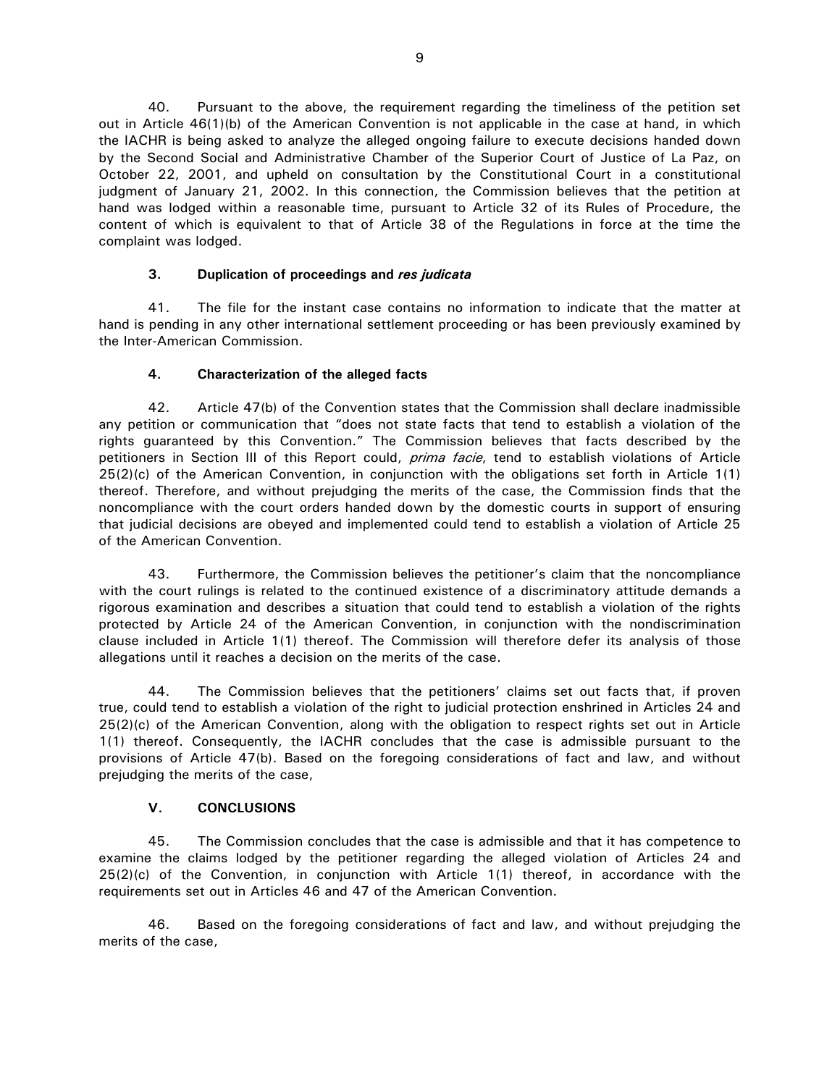40. Pursuant to the above, the requirement regarding the timeliness of the petition set out in Article 46(1)(b) of the American Convention is not applicable in the case at hand, in which the IACHR is being asked to analyze the alleged ongoing failure to execute decisions handed down by the Second Social and Administrative Chamber of the Superior Court of Justice of La Paz, on October 22, 2001, and upheld on consultation by the Constitutional Court in a constitutional judgment of January 21, 2002. In this connection, the Commission believes that the petition at hand was lodged within a reasonable time, pursuant to Article 32 of its Rules of Procedure, the content of which is equivalent to that of Article 38 of the Regulations in force at the time the complaint was lodged.

# **3. Duplication of proceedings and** *res judicata*

 41. The file for the instant case contains no information to indicate that the matter at hand is pending in any other international settlement proceeding or has been previously examined by the Inter-American Commission.

# **4. Characterization of the alleged facts**

42. Article 47(b) of the Convention states that the Commission shall declare inadmissible any petition or communication that "does not state facts that tend to establish a violation of the rights guaranteed by this Convention." The Commission believes that facts described by the petitioners in Section III of this Report could, prima facie, tend to establish violations of Article 25(2)(c) of the American Convention, in conjunction with the obligations set forth in Article 1(1) thereof. Therefore, and without prejudging the merits of the case, the Commission finds that the noncompliance with the court orders handed down by the domestic courts in support of ensuring that judicial decisions are obeyed and implemented could tend to establish a violation of Article 25 of the American Convention.

43. Furthermore, the Commission believes the petitioner's claim that the noncompliance with the court rulings is related to the continued existence of a discriminatory attitude demands a rigorous examination and describes a situation that could tend to establish a violation of the rights protected by Article 24 of the American Convention, in conjunction with the nondiscrimination clause included in Article 1(1) thereof. The Commission will therefore defer its analysis of those allegations until it reaches a decision on the merits of the case.

44. The Commission believes that the petitioners' claims set out facts that, if proven true, could tend to establish a violation of the right to judicial protection enshrined in Articles 24 and 25(2)(c) of the American Convention, along with the obligation to respect rights set out in Article 1(1) thereof. Consequently, the IACHR concludes that the case is admissible pursuant to the provisions of Article 47(b). Based on the foregoing considerations of fact and law, and without prejudging the merits of the case,

# **V. CONCLUSIONS**

 45. The Commission concludes that the case is admissible and that it has competence to examine the claims lodged by the petitioner regarding the alleged violation of Articles 24 and 25(2)(c) of the Convention, in conjunction with Article 1(1) thereof, in accordance with the requirements set out in Articles 46 and 47 of the American Convention.

 46. Based on the foregoing considerations of fact and law, and without prejudging the merits of the case,